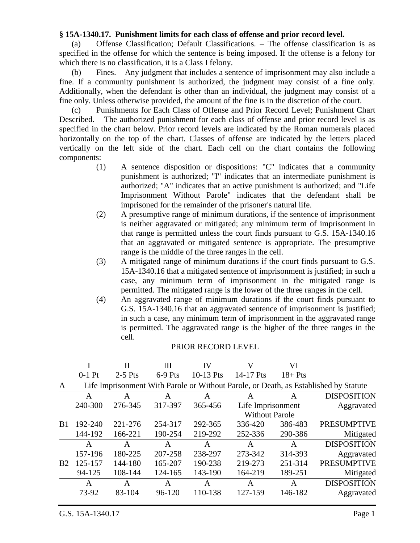## **§ 15A-1340.17. Punishment limits for each class of offense and prior record level.**

(a) Offense Classification; Default Classifications. – The offense classification is as specified in the offense for which the sentence is being imposed. If the offense is a felony for which there is no classification, it is a Class I felony.

(b) Fines. – Any judgment that includes a sentence of imprisonment may also include a fine. If a community punishment is authorized, the judgment may consist of a fine only. Additionally, when the defendant is other than an individual, the judgment may consist of a fine only. Unless otherwise provided, the amount of the fine is in the discretion of the court.

(c) Punishments for Each Class of Offense and Prior Record Level; Punishment Chart Described. – The authorized punishment for each class of offense and prior record level is as specified in the chart below. Prior record levels are indicated by the Roman numerals placed horizontally on the top of the chart. Classes of offense are indicated by the letters placed vertically on the left side of the chart. Each cell on the chart contains the following components:

- (1) A sentence disposition or dispositions: "C" indicates that a community punishment is authorized; "I" indicates that an intermediate punishment is authorized; "A" indicates that an active punishment is authorized; and "Life Imprisonment Without Parole" indicates that the defendant shall be imprisoned for the remainder of the prisoner's natural life.
- (2) A presumptive range of minimum durations, if the sentence of imprisonment is neither aggravated or mitigated; any minimum term of imprisonment in that range is permitted unless the court finds pursuant to G.S. 15A-1340.16 that an aggravated or mitigated sentence is appropriate. The presumptive range is the middle of the three ranges in the cell.
- (3) A mitigated range of minimum durations if the court finds pursuant to G.S. 15A-1340.16 that a mitigated sentence of imprisonment is justified; in such a case, any minimum term of imprisonment in the mitigated range is permitted. The mitigated range is the lower of the three ranges in the cell.
- (4) An aggravated range of minimum durations if the court finds pursuant to G.S. 15A-1340.16 that an aggravated sentence of imprisonment is justified; in such a case, any minimum term of imprisonment in the aggravated range is permitted. The aggravated range is the higher of the three ranges in the cell.

|                                                                                      | VI          | V                     | IV        | Ш         | $_{\rm II}$ |          |                |
|--------------------------------------------------------------------------------------|-------------|-----------------------|-----------|-----------|-------------|----------|----------------|
|                                                                                      | $18 + P$ ts | 14-17 Pts             | 10-13 Pts | $6-9$ Pts | $2-5$ Pts   | $0-1$ Pt |                |
| Life Imprisonment With Parole or Without Parole, or Death, as Established by Statute |             |                       |           |           |             |          | A              |
| <b>DISPOSITION</b>                                                                   | A           | A                     | A         | A         | A           | A        |                |
| Aggravated                                                                           |             | Life Imprisonment     | 365-456   | 317-397   | 276-345     | 240-300  |                |
|                                                                                      |             | <b>Without Parole</b> |           |           |             |          |                |
| <b>PRESUMPTIVE</b>                                                                   | 386-483     | 336-420               | 292-365   | 254-317   | 221-276     | 192-240  | B <sub>1</sub> |
| Mitigated                                                                            | 290-386     | 252-336               | 219-292   | 190-254   | 166-221     | 144-192  |                |
| <b>DISPOSITION</b>                                                                   | A           | A                     | A         | A         | A           | A        |                |
| Aggravated                                                                           | 314-393     | 273-342               | 238-297   | 207-258   | 180-225     | 157-196  |                |
| <b>PRESUMPTIVE</b>                                                                   | 251-314     | 219-273               | 190-238   | 165-207   | 144-180     | 125-157  | B <sub>2</sub> |
| Mitigated                                                                            | 189-251     | 164-219               | 143-190   | 124-165   | 108-144     | 94-125   |                |
| <b>DISPOSITION</b>                                                                   | A           | A                     | A         | A         | A           | A        |                |
| Aggravated                                                                           | 146-182     | 127-159               | 110-138   | 96-120    | 83-104      | 73-92    |                |
|                                                                                      |             |                       |           |           |             |          |                |

## PRIOR RECORD LEVEL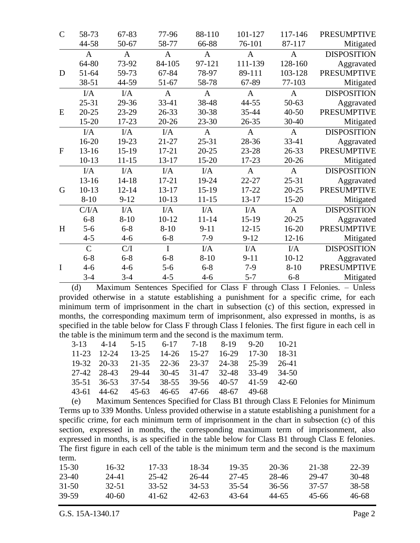| $\mathbf C$  | 58-73        | 67-83     | 77-96          | 88-110       | 101-127        | 117-146        | <b>PRESUMPTIVE</b> |
|--------------|--------------|-----------|----------------|--------------|----------------|----------------|--------------------|
|              | 44-58        | 50-67     | 58-77          | 66-88        | 76-101         | 87-117         | Mitigated          |
|              | A            | A         | A              | A            | A              | A              | <b>DISPOSITION</b> |
|              | 64-80        | 73-92     | 84-105         | 97-121       | 111-139        | 128-160        | Aggravated         |
| D            | 51-64        | 59-73     | 67-84          | 78-97        | 89-111         | 103-128        | <b>PRESUMPTIVE</b> |
|              | 38-51        | 44-59     | $51-67$        | 58-78        | 67-89          | 77-103         | Mitigated          |
|              | I/A          | I/A       | $\overline{A}$ | $\mathbf{A}$ | $\overline{A}$ | $\mathbf{A}$   | <b>DISPOSITION</b> |
|              | $25 - 31$    | 29-36     | 33-41          | 38-48        | 44-55          | 50-63          | Aggravated         |
| E            | $20 - 25$    | 23-29     | 26-33          | 30-38        | 35-44          | 40-50          | <b>PRESUMPTIVE</b> |
|              | 15-20        | 17-23     | $20 - 26$      | 23-30        | 26-35          | 30-40          | Mitigated          |
|              | I/A          | I/A       | I/A            | $\mathbf{A}$ | $\mathbf{A}$   | $\mathbf{A}$   | <b>DISPOSITION</b> |
|              | 16-20        | 19-23     | $21 - 27$      | $25 - 31$    | 28-36          | 33-41          | Aggravated         |
| $\mathbf{F}$ | $13 - 16$    | $15-19$   | $17 - 21$      | $20 - 25$    | 23-28          | 26-33          | <b>PRESUMPTIVE</b> |
|              | $10-13$      | $11 - 15$ | $13 - 17$      | 15-20        | 17-23          | $20 - 26$      | Mitigated          |
|              | I/A          | I/A       | I/A            | I/A          | $\overline{A}$ | $\overline{A}$ | <b>DISPOSITION</b> |
|              | $13 - 16$    | $14 - 18$ | $17 - 21$      | 19-24        | $22 - 27$      | $25 - 31$      | Aggravated         |
| G            | $10-13$      | $12 - 14$ | $13 - 17$      | $15-19$      | 17-22          | $20 - 25$      | <b>PRESUMPTIVE</b> |
|              | $8 - 10$     | $9 - 12$  | $10-13$        | $11 - 15$    | 13-17          | $15 - 20$      | Mitigated          |
|              | C/I/A        | $VA$      | $VA$           | I/A          | I/A            | $\mathbf{A}$   | <b>DISPOSITION</b> |
|              | $6 - 8$      | $8 - 10$  | $10 - 12$      | $11 - 14$    | $15-19$        | $20 - 25$      | Aggravated         |
| H            | $5 - 6$      | $6 - 8$   | $8 - 10$       | $9 - 11$     | $12 - 15$      | $16 - 20$      | <b>PRESUMPTIVE</b> |
|              | $4 - 5$      | $4 - 6$   | $6 - 8$        | $7-9$        | $9 - 12$       | $12 - 16$      | Mitigated          |
|              | $\mathsf{C}$ | C/I       | $\mathbf I$    | I/A          | I/A            | I/A            | <b>DISPOSITION</b> |
|              | $6 - 8$      | $6 - 8$   | $6 - 8$        | $8 - 10$     | $9 - 11$       | $10 - 12$      | Aggravated         |
| I            | $4 - 6$      | $4 - 6$   | $5 - 6$        | $6 - 8$      | $7-9$          | $8 - 10$       | <b>PRESUMPTIVE</b> |
|              | $3 - 4$      | $3-4$     | $4 - 5$        | $4 - 6$      | $5 - 7$        | $6 - 8$        | Mitigated          |

(d) Maximum Sentences Specified for Class F through Class I Felonies. – Unless provided otherwise in a statute establishing a punishment for a specific crime, for each minimum term of imprisonment in the chart in subsection (c) of this section, expressed in months, the corresponding maximum term of imprisonment, also expressed in months, is as specified in the table below for Class F through Class I felonies. The first figure in each cell in the table is the minimum term and the second is the maximum term.

|  | 3-13 4-14 5-15 6-17 7-18 8-19 9-20 10-21        |  |  |  |
|--|-------------------------------------------------|--|--|--|
|  | 11-23 12-24 13-25 14-26 15-27 16-29 17-30 18-31 |  |  |  |
|  | 19-32 20-33 21-35 22-36 23-37 24-38 25-39 26-41 |  |  |  |
|  | 27-42 28-43 29-44 30-45 31-47 32-48 33-49 34-50 |  |  |  |
|  | 35-51 36-53 37-54 38-55 39-56 40-57 41-59 42-60 |  |  |  |
|  | 43-61 44-62 45-63 46-65 47-66 48-67 49-68       |  |  |  |

(e) Maximum Sentences Specified for Class B1 through Class E Felonies for Minimum Terms up to 339 Months. Unless provided otherwise in a statute establishing a punishment for a specific crime, for each minimum term of imprisonment in the chart in subsection (c) of this section, expressed in months, the corresponding maximum term of imprisonment, also expressed in months, is as specified in the table below for Class B1 through Class E felonies. The first figure in each cell of the table is the minimum term and the second is the maximum term.

| 15-30 | 16-32 | 17-33 | 18-34 | 19-35 | 20-36 | 21-38 | 22-39 |
|-------|-------|-------|-------|-------|-------|-------|-------|
| 23-40 | 24-41 | 25-42 | 26-44 | 27-45 | 28-46 | 29-47 | 30-48 |
| 31-50 | 32-51 | 33-52 | 34-53 | 35-54 | 36-56 | 37-57 | 38-58 |
| 39-59 | 40-60 | 41-62 | 42-63 | 43-64 | 44-65 | 45-66 | 46-68 |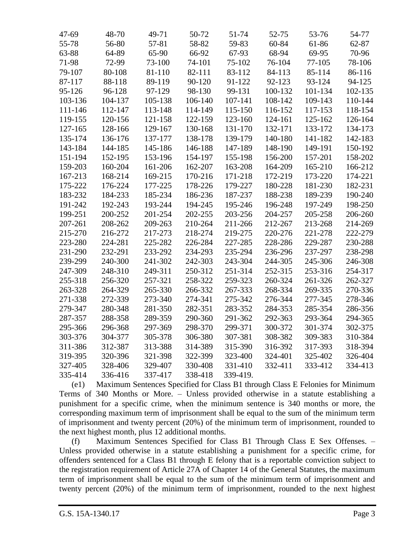| 47-69   | 48-70   | 49-71   | 50-72   | 51-74    | 52-75   | 53-76   | 54-77   |
|---------|---------|---------|---------|----------|---------|---------|---------|
| 55-78   | 56-80   | 57-81   | 58-82   | 59-83    | 60-84   | 61-86   | 62-87   |
| 63-88   | 64-89   | 65-90   | 66-92   | 67-93    | 68-94   | 69-95   | 70-96   |
| 71-98   | 72-99   | 73-100  | 74-101  | 75-102   | 76-104  | 77-105  | 78-106  |
| 79-107  | 80-108  | 81-110  | 82-111  | 83-112   | 84-113  | 85-114  | 86-116  |
| 87-117  | 88-118  | 89-119  | 90-120  | 91-122   | 92-123  | 93-124  | 94-125  |
| 95-126  | 96-128  | 97-129  | 98-130  | 99-131   | 100-132 | 101-134 | 102-135 |
| 103-136 | 104-137 | 105-138 | 106-140 | 107-141  | 108-142 | 109-143 | 110-144 |
| 111-146 | 112-147 | 113-148 | 114-149 | 115-150  | 116-152 | 117-153 | 118-154 |
| 119-155 | 120-156 | 121-158 | 122-159 | 123-160  | 124-161 | 125-162 | 126-164 |
| 127-165 | 128-166 | 129-167 | 130-168 | 131-170  | 132-171 | 133-172 | 134-173 |
| 135-174 | 136-176 | 137-177 | 138-178 | 139-179  | 140-180 | 141-182 | 142-183 |
| 143-184 | 144-185 | 145-186 | 146-188 | 147-189  | 148-190 | 149-191 | 150-192 |
| 151-194 | 152-195 | 153-196 | 154-197 | 155-198  | 156-200 | 157-201 | 158-202 |
| 159-203 | 160-204 | 161-206 | 162-207 | 163-208  | 164-209 | 165-210 | 166-212 |
| 167-213 | 168-214 | 169-215 | 170-216 | 171-218  | 172-219 | 173-220 | 174-221 |
| 175-222 | 176-224 | 177-225 | 178-226 | 179-227  | 180-228 | 181-230 | 182-231 |
| 183-232 | 184-233 | 185-234 | 186-236 | 187-237  | 188-238 | 189-239 | 190-240 |
| 191-242 | 192-243 | 193-244 | 194-245 | 195-246  | 196-248 | 197-249 | 198-250 |
| 199-251 | 200-252 | 201-254 | 202-255 | 203-256  | 204-257 | 205-258 | 206-260 |
| 207-261 | 208-262 | 209-263 | 210-264 | 211-266  | 212-267 | 213-268 | 214-269 |
| 215-270 | 216-272 | 217-273 | 218-274 | 219-275  | 220-276 | 221-278 | 222-279 |
| 223-280 | 224-281 | 225-282 | 226-284 | 227-285  | 228-286 | 229-287 | 230-288 |
| 231-290 | 232-291 | 233-292 | 234-293 | 235-294  | 236-296 | 237-297 | 238-298 |
| 239-299 | 240-300 | 241-302 | 242-303 | 243-304  | 244-305 | 245-306 | 246-308 |
| 247-309 | 248-310 | 249-311 | 250-312 | 251-314  | 252-315 | 253-316 | 254-317 |
| 255-318 | 256-320 | 257-321 | 258-322 | 259-323  | 260-324 | 261-326 | 262-327 |
| 263-328 | 264-329 | 265-330 | 266-332 | 267-333  | 268-334 | 269-335 | 270-336 |
| 271-338 | 272-339 | 273-340 | 274-341 | 275-342  | 276-344 | 277-345 | 278-346 |
| 279-347 | 280-348 | 281-350 | 282-351 | 283-352  | 284-353 | 285-354 | 286-356 |
| 287-357 | 288-358 | 289-359 | 290-360 | 291-362  | 292-363 | 293-364 | 294-365 |
| 295-366 | 296-368 | 297-369 | 298-370 | 299-371  | 300-372 | 301-374 | 302-375 |
| 303-376 | 304-377 | 305-378 | 306-380 | 307-381  | 308-382 | 309-383 | 310-384 |
| 311-386 | 312-387 | 313-388 | 314-389 | 315-390  | 316-392 | 317-393 | 318-394 |
| 319-395 | 320-396 | 321-398 | 322-399 | 323-400  | 324-401 | 325-402 | 326-404 |
| 327-405 | 328-406 | 329-407 | 330-408 | 331-410  | 332-411 | 333-412 | 334-413 |
| 335-414 | 336-416 | 337-417 | 338-418 | 339-419. |         |         |         |

(e1) Maximum Sentences Specified for Class B1 through Class E Felonies for Minimum Terms of 340 Months or More. – Unless provided otherwise in a statute establishing a punishment for a specific crime, when the minimum sentence is 340 months or more, the corresponding maximum term of imprisonment shall be equal to the sum of the minimum term of imprisonment and twenty percent (20%) of the minimum term of imprisonment, rounded to the next highest month, plus 12 additional months.

(f) Maximum Sentences Specified for Class B1 Through Class E Sex Offenses. – Unless provided otherwise in a statute establishing a punishment for a specific crime, for offenders sentenced for a Class B1 through E felony that is a reportable conviction subject to the registration requirement of Article 27A of Chapter 14 of the General Statutes, the maximum term of imprisonment shall be equal to the sum of the minimum term of imprisonment and twenty percent (20%) of the minimum term of imprisonment, rounded to the next highest